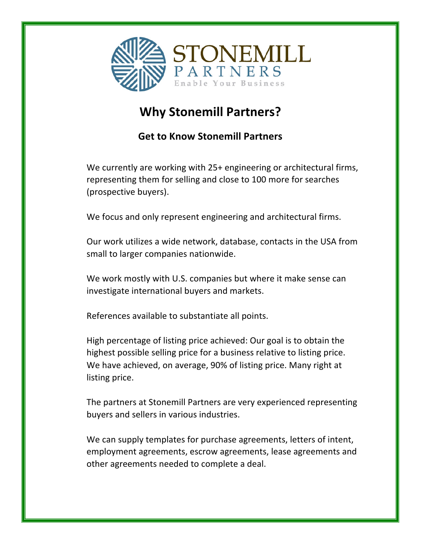

## **Why Stonemill Partners?**

## **Get to Know Stonemill Partners**

We currently are working with 25+ engineering or architectural firms, representing them for selling and close to 100 more for searches (prospective buyers).

We focus and only represent engineering and architectural firms.

Our work utilizes a wide network, database, contacts in the USA from small to larger companies nationwide.

We work mostly with U.S. companies but where it make sense can investigate international buyers and markets.

References available to substantiate all points.

High percentage of listing price achieved: Our goal is to obtain the highest possible selling price for a business relative to listing price. We have achieved, on average, 90% of listing price. Many right at listing price.

The partners at Stonemill Partners are very experienced representing buyers and sellers in various industries.

We can supply templates for purchase agreements, letters of intent, employment agreements, escrow agreements, lease agreements and other agreements needed to complete a deal.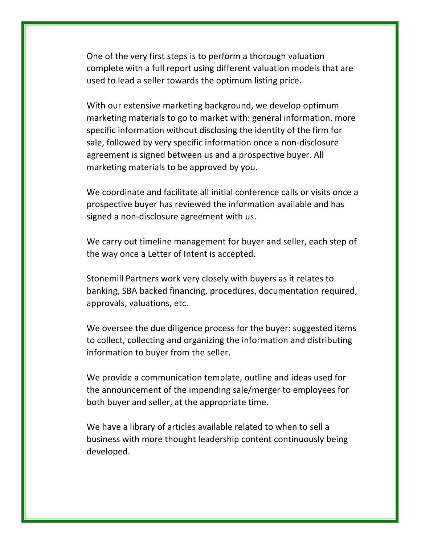One of the very first steps is to perform a thorough valuation complete with a full report using different valuation models that are used to lead a seller towards the optimum listing price.

With our extensive marketing background, we develop optimum marketing materials to go to market with: general information, more specific information without disclosing the identity of the firm for sale, followed by very specific information once a non-disclosure agreement is signed between us and a prospective buyer. All marketing materials to be approved by you.

We coordinate and facilitate all initial conference calls or visits once a prospective buyer has reviewed the information available and has signed a non-disclosure agreement with us.

We carry out timeline management for buyer and seller, each step of the way once a Letter of Intent is accepted.

Stonemill Partners work very closely with buyers as it relates to banking, SBA backed financing, procedures, documentation required, approvals, valuations, etc.

We oversee the due diligence process for the buyer: suggested items to collect, collecting and organizing the information and distributing information to buyer from the seller.

We provide a communication template, outline and ideas used for the announcement of the impending sale/merger to employees for both buyer and seller, at the appropriate time.

We have a library of articles available related to when to sell a business with more thought leadership content continuously being developed.